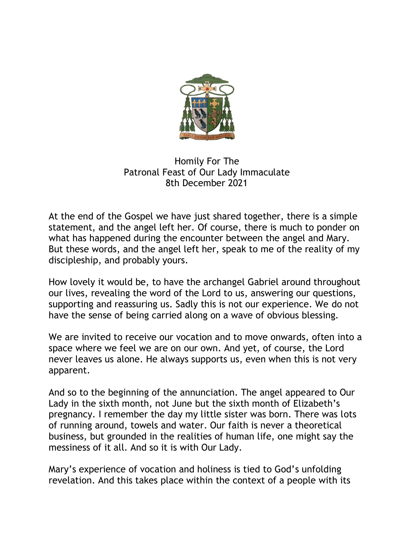

## Homily For The Patronal Feast of Our Lady Immaculate 8th December 2021

At the end of the Gospel we have just shared together, there is a simple statement, and the angel left her. Of course, there is much to ponder on what has happened during the encounter between the angel and Mary. But these words, and the angel left her, speak to me of the reality of my discipleship, and probably yours.

How lovely it would be, to have the archangel Gabriel around throughout our lives, revealing the word of the Lord to us, answering our questions, supporting and reassuring us. Sadly this is not our experience. We do not have the sense of being carried along on a wave of obvious blessing.

We are invited to receive our vocation and to move onwards, often into a space where we feel we are on our own. And yet, of course, the Lord never leaves us alone. He always supports us, even when this is not very apparent.

And so to the beginning of the annunciation. The angel appeared to Our Lady in the sixth month, not June but the sixth month of Elizabeth's pregnancy. I remember the day my little sister was born. There was lots of running around, towels and water. Our faith is never a theoretical business, but grounded in the realities of human life, one might say the messiness of it all. And so it is with Our Lady.

Mary's experience of vocation and holiness is tied to God's unfolding revelation. And this takes place within the context of a people with its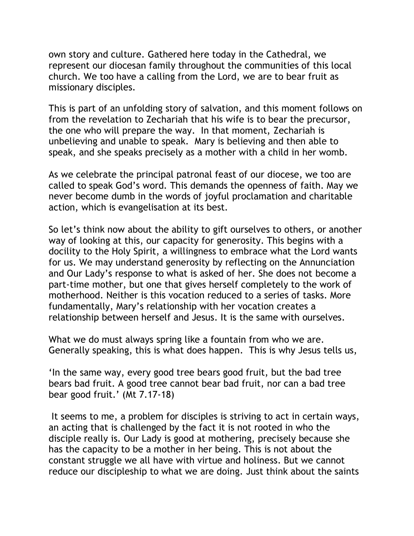own story and culture. Gathered here today in the Cathedral, we represent our diocesan family throughout the communities of this local church. We too have a calling from the Lord, we are to bear fruit as missionary disciples.

This is part of an unfolding story of salvation, and this moment follows on from the revelation to Zechariah that his wife is to bear the precursor, the one who will prepare the way. In that moment, Zechariah is unbelieving and unable to speak. Mary is believing and then able to speak, and she speaks precisely as a mother with a child in her womb.

As we celebrate the principal patronal feast of our diocese, we too are called to speak God's word. This demands the openness of faith. May we never become dumb in the words of joyful proclamation and charitable action, which is evangelisation at its best.

So let's think now about the ability to gift ourselves to others, or another way of looking at this, our capacity for generosity. This begins with a docility to the Holy Spirit, a willingness to embrace what the Lord wants for us. We may understand generosity by reflecting on the Annunciation and Our Lady's response to what is asked of her. She does not become a part-time mother, but one that gives herself completely to the work of motherhood. Neither is this vocation reduced to a series of tasks. More fundamentally, Mary's relationship with her vocation creates a relationship between herself and Jesus. It is the same with ourselves.

What we do must always spring like a fountain from who we are. Generally speaking, this is what does happen. This is why Jesus tells us,

'In the same way, every good tree bears good fruit, but the bad tree bears bad fruit. A good tree cannot bear bad fruit, nor can a bad tree bear good fruit.' (Mt 7.17-18)

It seems to me, a problem for disciples is striving to act in certain ways, an acting that is challenged by the fact it is not rooted in who the disciple really is. Our Lady is good at mothering, precisely because she has the capacity to be a mother in her being. This is not about the constant struggle we all have with virtue and holiness. But we cannot reduce our discipleship to what we are doing. Just think about the saints